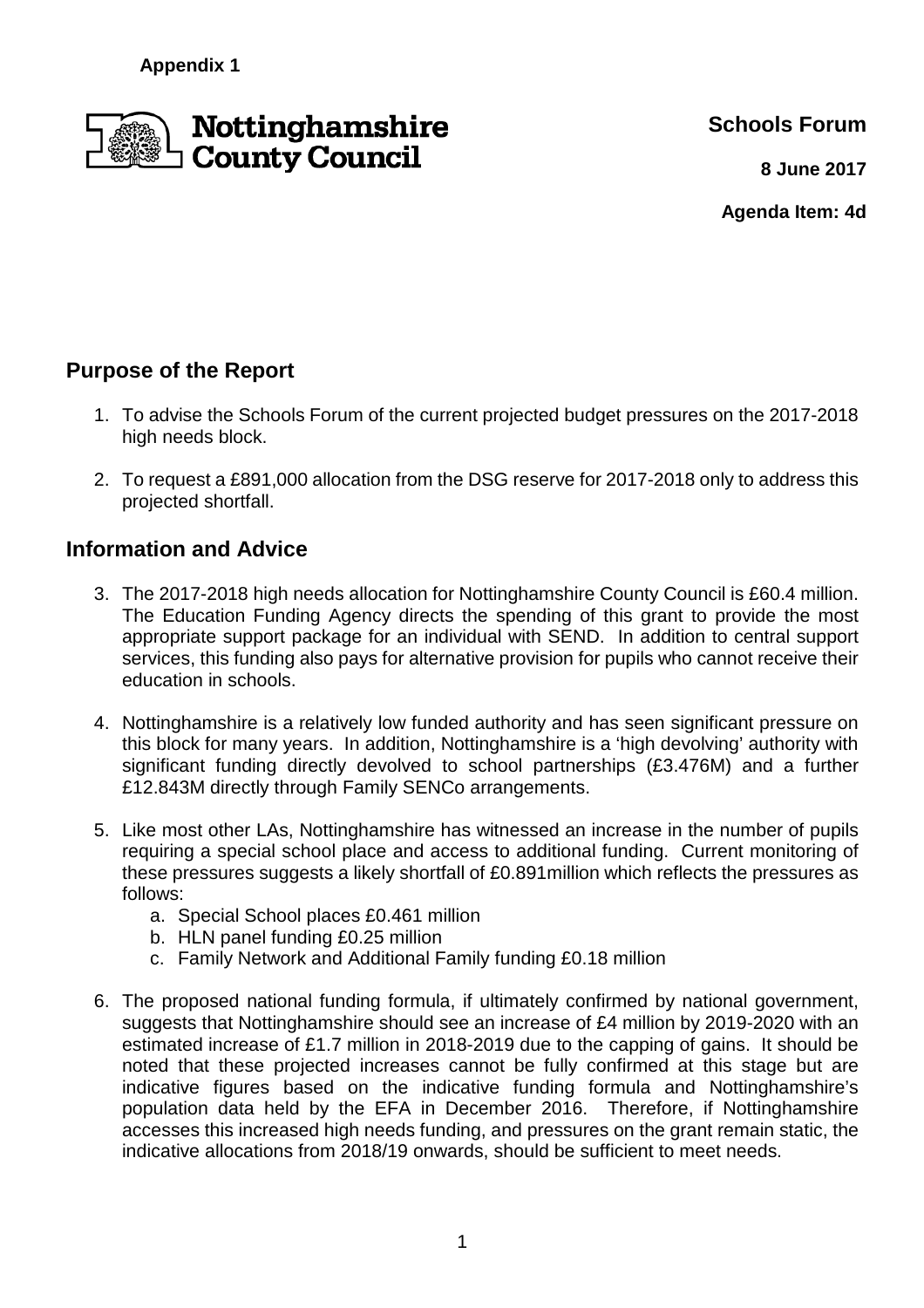

**Schools Forum**

**8 June 2017**

**Agenda Item: 4d**

# **Purpose of the Report**

- 1. To advise the Schools Forum of the current projected budget pressures on the 2017-2018 high needs block.
- 2. To request a £891,000 allocation from the DSG reserve for 2017-2018 only to address this projected shortfall.

## **Information and Advice**

- 3. The 2017-2018 high needs allocation for Nottinghamshire County Council is £60.4 million. The Education Funding Agency directs the spending of this grant to provide the most appropriate support package for an individual with SEND. In addition to central support services, this funding also pays for alternative provision for pupils who cannot receive their education in schools.
- 4. Nottinghamshire is a relatively low funded authority and has seen significant pressure on this block for many years. In addition, Nottinghamshire is a 'high devolving' authority with significant funding directly devolved to school partnerships (£3.476M) and a further £12.843M directly through Family SENCo arrangements.
- 5. Like most other LAs, Nottinghamshire has witnessed an increase in the number of pupils requiring a special school place and access to additional funding. Current monitoring of these pressures suggests a likely shortfall of £0.891million which reflects the pressures as follows:
	- a. Special School places £0.461 million
	- b. HLN panel funding £0.25 million
	- c. Family Network and Additional Family funding £0.18 million
- 6. The proposed national funding formula, if ultimately confirmed by national government, suggests that Nottinghamshire should see an increase of £4 million by 2019-2020 with an estimated increase of £1.7 million in 2018-2019 due to the capping of gains. It should be noted that these projected increases cannot be fully confirmed at this stage but are indicative figures based on the indicative funding formula and Nottinghamshire's population data held by the EFA in December 2016. Therefore, if Nottinghamshire accesses this increased high needs funding, and pressures on the grant remain static, the indicative allocations from 2018/19 onwards, should be sufficient to meet needs.